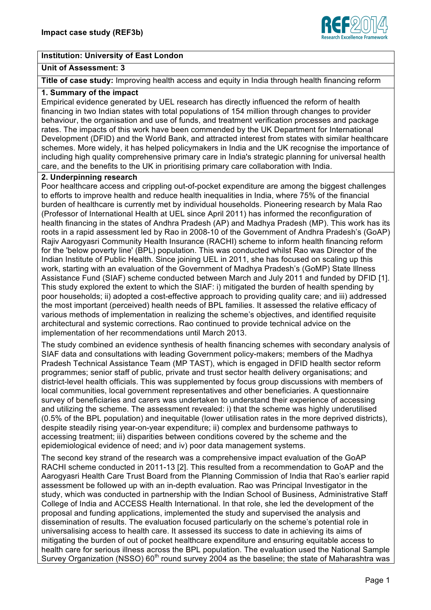

## **Institution: University of East London**

## **Unit of Assessment: 3**

**Title of case study:** Improving health access and equity in India through health financing reform

# **1. Summary of the impact**

Empirical evidence generated by UEL research has directly influenced the reform of health financing in two Indian states with total populations of 154 million through changes to provider behaviour, the organisation and use of funds, and treatment verification processes and package rates. The impacts of this work have been commended by the UK Department for International Development (DFID) and the World Bank, and attracted interest from states with similar healthcare schemes. More widely, it has helped policymakers in India and the UK recognise the importance of including high quality comprehensive primary care in India's strategic planning for universal health care, and the benefits to the UK in prioritising primary care collaboration with India.

## **2. Underpinning research**

Poor healthcare access and crippling out-of-pocket expenditure are among the biggest challenges to efforts to improve health and reduce health inequalities in India, where 75% of the financial burden of healthcare is currently met by individual households. Pioneering research by Mala Rao (Professor of International Health at UEL since April 2011) has informed the reconfiguration of health financing in the states of Andhra Pradesh (AP) and Madhya Pradesh (MP). This work has its roots in a rapid assessment led by Rao in 2008-10 of the Government of Andhra Pradesh's (GoAP) Rajiv Aarogyasri Community Health Insurance (RACHI) scheme to inform health financing reform for the 'below poverty line' (BPL) population. This was conducted whilst Rao was Director of the Indian Institute of Public Health. Since joining UEL in 2011, she has focused on scaling up this work, starting with an evaluation of the Government of Madhya Pradesh's (GoMP) State Illness Assistance Fund (SIAF) scheme conducted between March and July 2011 and funded by DFID [1]. This study explored the extent to which the SIAF: i) mitigated the burden of health spending by poor households; ii) adopted a cost-effective approach to providing quality care; and iii) addressed the most important (perceived) health needs of BPL families. It assessed the relative efficacy of various methods of implementation in realizing the scheme's objectives, and identified requisite architectural and systemic corrections. Rao continued to provide technical advice on the implementation of her recommendations until March 2013.

The study combined an evidence synthesis of health financing schemes with secondary analysis of SIAF data and consultations with leading Government policy-makers; members of the Madhya Pradesh Technical Assistance Team (MP TAST), which is engaged in DFID health sector reform programmes; senior staff of public, private and trust sector health delivery organisations; and district-level health officials. This was supplemented by focus group discussions with members of local communities, local government representatives and other beneficiaries. A questionnaire survey of beneficiaries and carers was undertaken to understand their experience of accessing and utilizing the scheme. The assessment revealed: i) that the scheme was highly underutilised (0.5% of the BPL population) and inequitable (lower utilisation rates in the more deprived districts), despite steadily rising year-on-year expenditure; ii) complex and burdensome pathways to accessing treatment; iii) disparities between conditions covered by the scheme and the epidemiological evidence of need; and iv) poor data management systems.

The second key strand of the research was a comprehensive impact evaluation of the GoAP RACHI scheme conducted in 2011-13 [2]. This resulted from a recommendation to GoAP and the Aarogyasri Health Care Trust Board from the Planning Commission of India that Rao's earlier rapid assessment be followed up with an in-depth evaluation. Rao was Principal Investigator in the study, which was conducted in partnership with the Indian School of Business, Administrative Staff College of India and ACCESS Health International. In that role, she led the development of the proposal and funding applications, implemented the study and supervised the analysis and dissemination of results. The evaluation focused particularly on the scheme's potential role in universalising access to health care. It assessed its success to date in achieving its aims of mitigating the burden of out of pocket healthcare expenditure and ensuring equitable access to health care for serious illness across the BPL population. The evaluation used the National Sample Survey Organization (NSSO) 60<sup>th</sup> round survey 2004 as the baseline; the state of Maharashtra was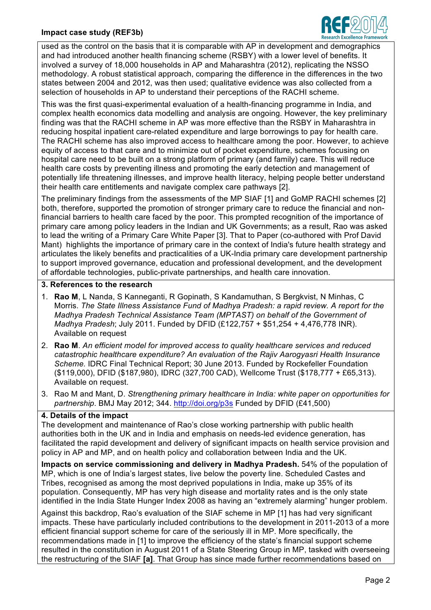### **Impact case study (REF3b)**



used as the control on the basis that it is comparable with AP in development and demographics and had introduced another health financing scheme (RSBY) with a lower level of benefits. It involved a survey of 18,000 households in AP and Maharashtra (2012), replicating the NSSO methodology. A robust statistical approach, comparing the difference in the differences in the two states between 2004 and 2012, was then used; qualitative evidence was also collected from a selection of households in AP to understand their perceptions of the RACHI scheme.

This was the first quasi-experimental evaluation of a health-financing programme in India, and complex health economics data modelling and analysis are ongoing. However, the key preliminary finding was that the RACHI scheme in AP was more effective than the RSBY in Maharashtra in reducing hospital inpatient care-related expenditure and large borrowings to pay for health care. The RACHI scheme has also improved access to healthcare among the poor. However, to achieve equity of access to that care and to minimize out of pocket expenditure, schemes focusing on hospital care need to be built on a strong platform of primary (and family) care. This will reduce health care costs by preventing illness and promoting the early detection and management of potentially life threatening illnesses, and improve health literacy, helping people better understand their health care entitlements and navigate complex care pathways [2].

The preliminary findings from the assessments of the MP SIAF [1] and GoMP RACHI schemes [2] both, therefore, supported the promotion of stronger primary care to reduce the financial and nonfinancial barriers to health care faced by the poor. This prompted recognition of the importance of primary care among policy leaders in the Indian and UK Governments; as a result, Rao was asked to lead the writing of a Primary Care White Paper [3]. That to Paper (co-authored with Prof David Mant) highlights the importance of primary care in the context of India's future health strategy and articulates the likely benefits and practicalities of a UK-India primary care development partnership to support improved governance, education and professional development, and the development of affordable technologies, public-private partnerships, and health care innovation.

# **3. References to the research**

- 1. **Rao M**, L Nanda, S Kanneganti, R Gopinath, S Kandamuthan, S Bergkvist, N Minhas, C Morris. *The State Illness Assistance Fund of Madhya Pradesh: a rapid review. A report for the Madhya Pradesh Technical Assistance Team (MPTAST) on behalf of the Government of Madhya Pradesh*; July 2011. Funded by DFID (£122,757 + \$51,254 + 4,476,778 INR). Available on request
- 2. **Rao M**. *An efficient model for improved access to quality healthcare services and reduced catastrophic healthcare expenditure? An evaluation of the Rajiv Aarogyasri Health Insurance Scheme.* IDRC Final Technical Report; 30 June 2013. Funded by Rockefeller Foundation (\$119,000), DFID (\$187,980), IDRC (327,700 CAD), Wellcome Trust (\$178,777 + £65,313). Available on request.
- 3. Rao M and Mant, D. *Strengthening primary healthcare in India: white paper on opportunities for partnership*. BMJ May 2012; 344. http://doi.org/p3s Funded by DFID (£41,500)

### **4. Details of the impact**

The development and maintenance of Rao's close working partnership with public health authorities both in the UK and in India and emphasis on needs-led evidence generation, has facilitated the rapid development and delivery of significant impacts on health service provision and policy in AP and MP, and on health policy and collaboration between India and the UK.

**Impacts on service commissioning and delivery in Madhya Pradesh.** 54% of the population of MP, which is one of India's largest states, live below the poverty line. Scheduled Castes and Tribes, recognised as among the most deprived populations in India, make up 35% of its population. Consequently, MP has very high disease and mortality rates and is the only state identified in the India State Hunger Index 2008 as having an "extremely alarming" hunger problem.

Against this backdrop, Rao's evaluation of the SIAF scheme in MP [1] has had very significant impacts. These have particularly included contributions to the development in 2011-2013 of a more efficient financial support scheme for care of the seriously ill in MP. More specifically, the recommendations made in [1] to improve the efficiency of the state's financial support scheme resulted in the constitution in August 2011 of a State Steering Group in MP, tasked with overseeing the restructuring of the SIAF **[a]**. That Group has since made further recommendations based on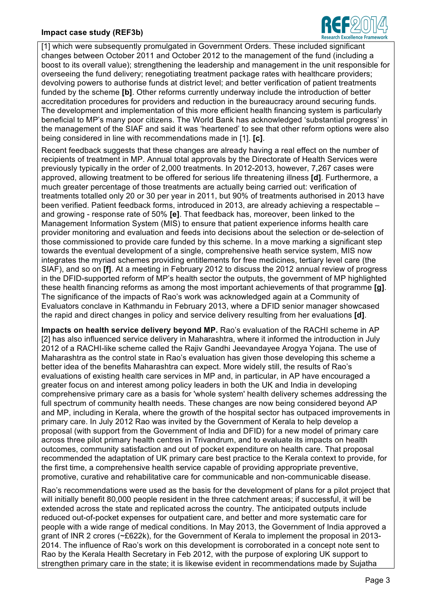### **Impact case study (REF3b)**



[1] which were subsequently promulgated in Government Orders. These included significant changes between October 2011 and October 2012 to the management of the fund (including a boost to its overall value); strengthening the leadership and management in the unit responsible for overseeing the fund delivery; renegotiating treatment package rates with healthcare providers; devolving powers to authorise funds at district level; and better verification of patient treatments funded by the scheme **[b]**. Other reforms currently underway include the introduction of better accreditation procedures for providers and reduction in the bureaucracy around securing funds. The development and implementation of this more efficient health financing system is particularly beneficial to MP's many poor citizens. The World Bank has acknowledged 'substantial progress' in the management of the SIAF and said it was 'heartened' to see that other reform options were also being considered in line with recommendations made in [1]. **[c]**.

Recent feedback suggests that these changes are already having a real effect on the number of recipients of treatment in MP. Annual total approvals by the Directorate of Health Services were previously typically in the order of 2,000 treatments. In 2012-2013, however, 7,267 cases were approved, allowing treatment to be offered for serious life threatening illness **[d]**. Furthermore, a much greater percentage of those treatments are actually being carried out: verification of treatments totalled only 20 or 30 per year in 2011, but 90% of treatments authorised in 2013 have been verified. Patient feedback forms, introduced in 2013, are already achieving a respectable – and growing - response rate of 50% **[e]**. That feedback has, moreover, been linked to the Management Information System (MIS) to ensure that patient experience informs health care provider monitoring and evaluation and feeds into decisions about the selection or de-selection of those commissioned to provide care funded by this scheme. In a move marking a significant step towards the eventual development of a single, comprehensive heath service system, MIS now integrates the myriad schemes providing entitlements for free medicines, tertiary level care (the SIAF), and so on **[f]**. At a meeting in February 2012 to discuss the 2012 annual review of progress in the DFID-supported reform of MP's health sector the outputs, the government of MP highlighted these health financing reforms as among the most important achievements of that programme **[g]**. The significance of the impacts of Rao's work was acknowledged again at a Community of Evaluators conclave in Kathmandu in February 2013, where a DFID senior manager showcased the rapid and direct changes in policy and service delivery resulting from her evaluations **[d]**.

**Impacts on health service delivery beyond MP.** Rao's evaluation of the RACHI scheme in AP [2] has also influenced service delivery in Maharashtra, where it informed the introduction in July 2012 of a RACHI-like scheme called the Rajiv Gandhi Jeevandayee Arogya Yojana. The use of Maharashtra as the control state in Rao's evaluation has given those developing this scheme a better idea of the benefits Maharashtra can expect. More widely still, the results of Rao's evaluations of existing health care services in MP and, in particular, in AP have encouraged a greater focus on and interest among policy leaders in both the UK and India in developing comprehensive primary care as a basis for 'whole system' health delivery schemes addressing the full spectrum of community health needs. These changes are now being considered beyond AP and MP, including in Kerala, where the growth of the hospital sector has outpaced improvements in primary care. In July 2012 Rao was invited by the Government of Kerala to help develop a proposal (with support from the Government of India and DFID) for a new model of primary care across three pilot primary health centres in Trivandrum, and to evaluate its impacts on health outcomes, community satisfaction and out of pocket expenditure on health care. That proposal recommended the adaptation of UK primary care best practice to the Kerala context to provide, for the first time, a comprehensive health service capable of providing appropriate preventive, promotive, curative and rehabilitative care for communicable and non-communicable disease.

Rao's recommendations were used as the basis for the development of plans for a pilot project that will initially benefit 80,000 people resident in the three catchment areas; if successful, it will be extended across the state and replicated across the country. The anticipated outputs include reduced out-of-pocket expenses for outpatient care, and better and more systematic care for people with a wide range of medical conditions. In May 2013, the Government of India approved a grant of INR 2 crores (~£622k), for the Government of Kerala to implement the proposal in 2013- 2014. The influence of Rao's work on this development is corroborated in a concept note sent to Rao by the Kerala Health Secretary in Feb 2012, with the purpose of exploring UK support to strengthen primary care in the state; it is likewise evident in recommendations made by Sujatha